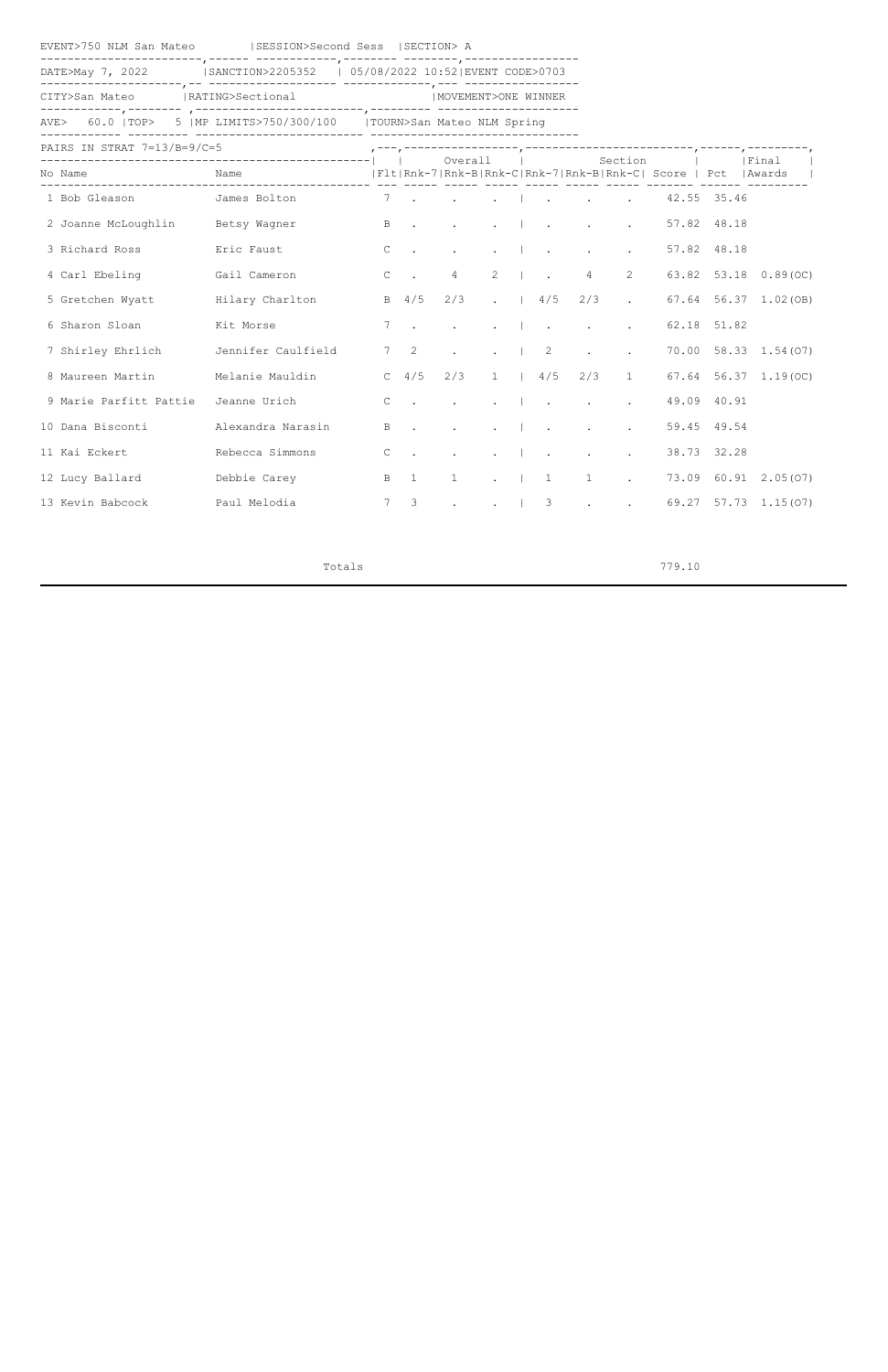EVENT>750 NLM San Mateo |SESSION>Second Sess |SECTION> A

------------------------,------ ------------,-------- --------,----------------- DATE>May 7, 2022 | SANCTION>2205352 | 05/08/2022 10:52|EVENT CODE>0703

---------------------,-- ------------------- -------------,--- -----------------

CITY>San Mateo |RATING>Sectional |MOVEMENT>ONE WINNER

------------,-------- ,-------------------------,--------- ---------------------

AVE> 60.0 |TOP> 5 |MP LIMITS>750/300/100 |TOURN>San Mateo NLM Spring ------------ --------- ------------------------- -------------------------------

 $P_{\text{ATPS}}$  IN STRAT  $7-13/R-9/C-5$ 

| FAINS IN SINAI 7-137 D-37 C-3    | __________________ |                 |                          | Overall                                                 |                                        |          |                                                                                                                                                                                                                                                                                                                                                                                                                                                               |                                   | Section                       |                                                               |             | Final                      |
|----------------------------------|--------------------|-----------------|--------------------------|---------------------------------------------------------|----------------------------------------|----------|---------------------------------------------------------------------------------------------------------------------------------------------------------------------------------------------------------------------------------------------------------------------------------------------------------------------------------------------------------------------------------------------------------------------------------------------------------------|-----------------------------------|-------------------------------|---------------------------------------------------------------|-------------|----------------------------|
| No Name                          | Name               |                 |                          |                                                         |                                        |          |                                                                                                                                                                                                                                                                                                                                                                                                                                                               |                                   |                               | Flt Rnk-7 Rnk-B Rnk-C Rnk-7 Rnk-B Rnk-C  Score   Pct   Awards |             |                            |
| 1 Bob Gleason                    | James Bolton       | $7\overline{ }$ | $\sim 10$                | $\sim$ $\sim$ $\sim$ $\sim$ $\sim$ $\sim$ $\sim$ $\sim$ |                                        |          |                                                                                                                                                                                                                                                                                                                                                                                                                                                               | <b>Contract Contract Contract</b> |                               |                                                               | 42.55 35.46 |                            |
| 2 Joanne McLoughlin Betsy Wagner |                    | $\, {\bf B}$    | $\sim$                   | $\sim$                                                  | $\ddot{\phantom{a}}$                   |          | $\blacksquare$                                                                                                                                                                                                                                                                                                                                                                                                                                                | $\mathcal{L} = \mathcal{L}$       | $\ddot{\phantom{a}}$          |                                                               | 57.82 48.18 |                            |
| 3 Richard Ross                   | Eric Faust         | $\mathbb C$     | $\sim$ $\sim$            | $\ddot{\phantom{0}}$                                    |                                        |          | $\mathbf{1} \qquad \qquad \mathbf{1} \qquad \qquad \mathbf{1} \qquad \qquad \mathbf{1} \qquad \qquad \mathbf{1} \qquad \mathbf{1} \qquad \mathbf{1} \qquad \mathbf{1} \qquad \mathbf{1} \qquad \mathbf{1} \qquad \mathbf{1} \qquad \mathbf{1} \qquad \mathbf{1} \qquad \mathbf{1} \qquad \mathbf{1} \qquad \mathbf{1} \qquad \mathbf{1} \qquad \mathbf{1} \qquad \mathbf{1} \qquad \mathbf{1} \qquad \mathbf{1} \qquad \mathbf{1} \qquad \mathbf{1} \qquad \$ | $\sim$                            | $\mathbf{L}^{\text{max}}$     |                                                               | 57.82 48.18 |                            |
| 4 Carl Ebeling                   | Gail Cameron       | $\mathsf{C}$    | $\sim$ .                 | $\overline{4}$                                          | 2                                      |          | $\mathbb{R}^n$ . The set of $\mathbb{R}^n$                                                                                                                                                                                                                                                                                                                                                                                                                    | $\overline{4}$                    | $\overline{2}$                |                                                               |             | 63.82 53.18 0.89(OC)       |
| 5 Gretchen Wyatt                 | Hilary Charlton    |                 | $B = 4/5$                | 2/3                                                     | $\mathbf{L}$ . The set of $\mathbf{L}$ |          | 4/5                                                                                                                                                                                                                                                                                                                                                                                                                                                           | 2/3                               | $\ddot{\phantom{a}}$          |                                                               |             | 67.64 56.37 1.02 (OB)      |
| 6 Sharon Sloan                   | Kit Morse          | $7\phantom{.0}$ |                          | $\sim$                                                  | $\sim$                                 |          | $\sim$                                                                                                                                                                                                                                                                                                                                                                                                                                                        | $\sim$ $\sim$                     | $\sim$                        |                                                               | 62.18 51.82 |                            |
| 7 Shirley Ehrlich                | Jennifer Caulfield | 7 <sup>7</sup>  | $\overline{\phantom{a}}$ | $\mathcal{L}^{\pm}$                                     |                                        |          | $\cdot$   2                                                                                                                                                                                                                                                                                                                                                                                                                                                   | $\bullet$                         | $\mathcal{L}^{\pm}$           |                                                               |             | 70.00 58.33 1.54 (07)      |
| 8 Maureen Martin                 | Melanie Mauldin    |                 | C $4/5$                  | 2/3                                                     | $1 \quad  $                            |          | 4/5                                                                                                                                                                                                                                                                                                                                                                                                                                                           | 2/3                               | $\mathbf{1}$                  |                                                               |             | $67.64$ $56.37$ $1.19(OC)$ |
| 9 Marie Parfitt Pattie           | Jeanne Urich       | $\mathsf{C}$    | $\sim 10$                |                                                         |                                        |          | $\mathbf{I}$ .                                                                                                                                                                                                                                                                                                                                                                                                                                                | $\sim$ $\sim$                     | $\mathcal{L}^{\pm}$           |                                                               | 49.09 40.91 |                            |
| 10 Dana Bisconti                 | Alexandra Narasin  | $\, {\bf B}$    | $\sim$                   | $\sim$                                                  | $\ddot{\phantom{a}}$                   | $\sim 1$ | $\sim 100$ km s $^{-1}$                                                                                                                                                                                                                                                                                                                                                                                                                                       | $\bullet$                         | $\ddot{\phantom{a}}$          |                                                               | 59.45 49.54 |                            |
| 11 Kai Eckert                    | Rebecca Simmons    | $\mathsf{C}$    | $\sim$ $\sim$            | $\sim$                                                  |                                        |          | $\mathbf{L} = \begin{bmatrix} 1 & 1 & 1 \\ 1 & 1 & 1 \end{bmatrix}$                                                                                                                                                                                                                                                                                                                                                                                           | $\sim$                            | $\Delta \sim 10^4$            |                                                               | 38.73 32.28 |                            |
| 12 Lucy Ballard                  | Debbie Carey       | $\mathbf{B}$    | $\overline{1}$           | $\mathbf{1}$                                            |                                        |          | $\cdot$ 1 1                                                                                                                                                                                                                                                                                                                                                                                                                                                   | $\mathbf{1}$                      | $\mathbf{L}^{\text{max}}$     |                                                               |             | 73.09 60.91 2.05(07)       |
| 13 Kevin Babcock                 | Paul Melodia       |                 | 7 <sup>3</sup>           |                                                         |                                        |          | $\cdot$   3                                                                                                                                                                                                                                                                                                                                                                                                                                                   | $\bullet$                         | $\mathbf{L}$ and $\mathbf{L}$ |                                                               |             | 69.27 57.73 1.15(07)       |

Totals 779.10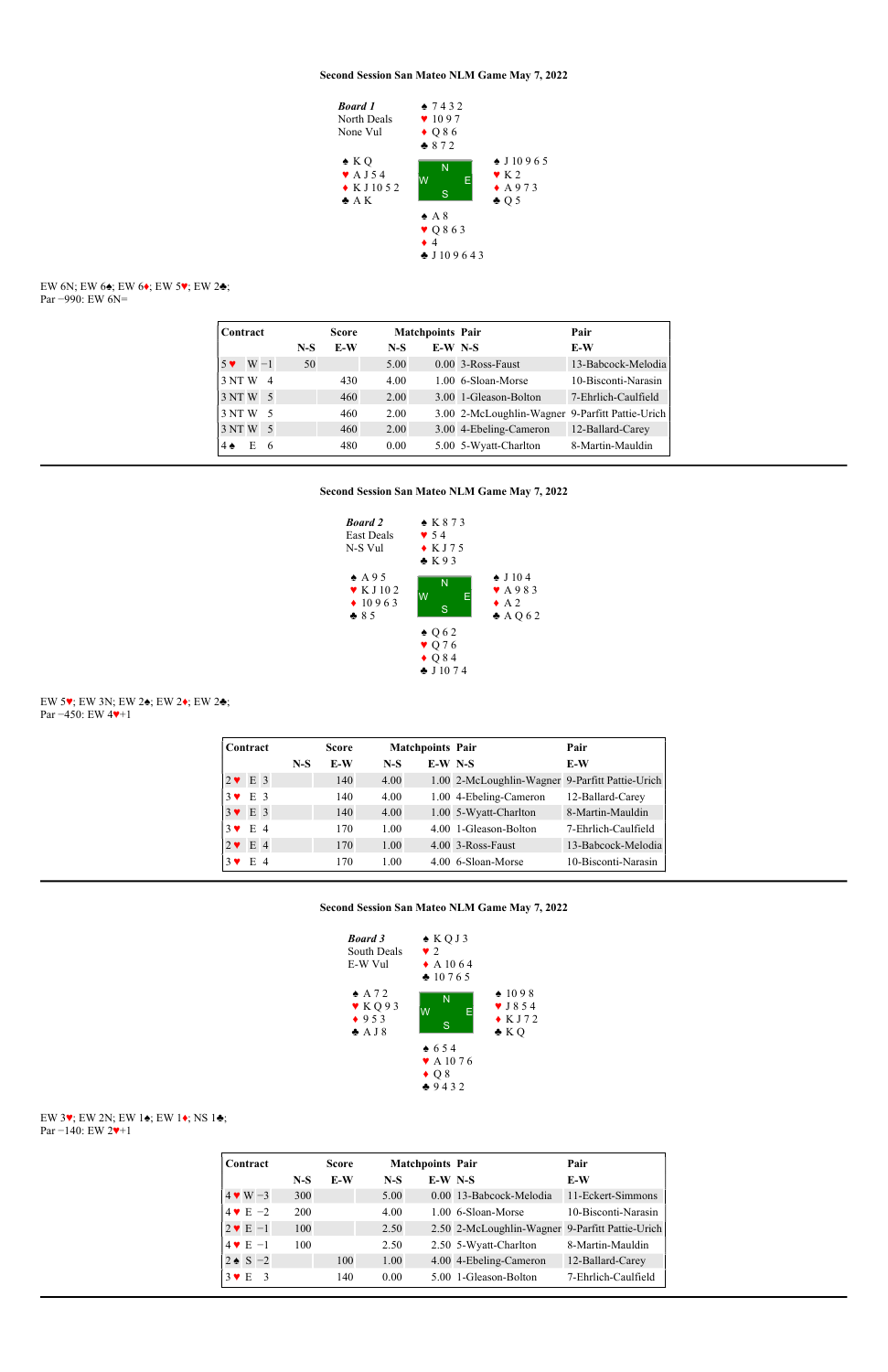EW 6N; EW 6♠; EW 6♦; EW 5♥; EW 2♣; Par −990: EW 6N=



| Contract                 |       | <b>Score</b> |       | <b>Matchpoints Pair</b> |                                                 | Pair                |
|--------------------------|-------|--------------|-------|-------------------------|-------------------------------------------------|---------------------|
|                          | $N-S$ | E-W          | $N-S$ | $E-W$ N-S               |                                                 | E-W                 |
| $5 \vee W - 1$           | 50    |              | 5.00  |                         | $0.00$ 3-Ross-Faust                             | 13-Babcock-Melodia  |
| 3 NT W<br>$\overline{4}$ |       | 430          | 4.00  |                         | 1.00 6-Sloan-Morse                              | 10-Bisconti-Narasin |
| $3NTW$ 5                 |       | 460          | 2.00  |                         | 3.00 1-Gleason-Bolton                           | 7-Ehrlich-Caulfield |
| 3 NTW<br>- 5             |       | 460          | 2.00  |                         | 3.00 2-McLoughlin-Wagner 9-Parfitt Pattie-Urich |                     |
| 3 NTW<br>$\overline{5}$  |       | 460          | 2.00  |                         | 3.00 4-Ebeling-Cameron                          | 12-Ballard-Carey    |
| E<br>$4 \spadesuit$<br>6 |       | 480          | 0.00  |                         | 5.00 5-Wyatt-Charlton                           | 8-Martin-Mauldin    |

## Second Session San Mateo NLM Game May 7, 2022



EW 5♥; EW 3N; EW 2♠; EW 2♦; EW 2♣; Par −450: EW 4♥+1

|              | Contract     |  |       | <b>Score</b> |       | <b>Matchpoints Pair</b> |                                                 | Pair                |
|--------------|--------------|--|-------|--------------|-------|-------------------------|-------------------------------------------------|---------------------|
|              |              |  | $N-S$ | E-W          | $N-S$ | $E-W$ N-S               |                                                 | E-W                 |
| $2 \vee E$ 3 |              |  |       | 140          | 4.00  |                         | 1.00 2-McLoughlin-Wagner 9-Parfitt Pattie-Urich |                     |
|              | $3 \vee E 3$ |  |       | 140          | 4.00  |                         | 1.00 4-Ebeling-Cameron                          | 12-Ballard-Carey    |
| $3 \vee E$ 3 |              |  |       | 140          | 4.00  |                         | 1.00 5-Wyatt-Charlton                           | 8-Martin-Mauldin    |
|              | $3 \vee E 4$ |  |       | 170          | 1.00  |                         | 4.00 1-Gleason-Bolton                           | 7-Ehrlich-Caulfield |
| $2 \vee$     | E 4          |  |       | 170          | 1.00  |                         | 4.00 3-Ross-Faust                               | 13-Babcock-Melodia  |
|              | $E_4$        |  |       | 170          | 1.00  |                         | 4.00 6-Sloan-Morse                              | 10-Bisconti-Narasin |

Second Session San Mateo NLM Game May 7, 2022

| <b>Board</b> 3<br>South Deals<br>E-W Vul | $\triangle KOJ3$<br>$\bullet$ 2<br>$\triangle$ A 10 6 4<br>$*10765$ |                   |
|------------------------------------------|---------------------------------------------------------------------|-------------------|
| $\triangle$ A 7 2                        | N                                                                   | $*1098$           |
| KQ93                                     | $\Lambda$                                                           | $\bullet$ J 8 5 4 |



# EW 3♥; EW 2N; EW 1♠; EW 1♦; NS 1♣; Par −140: EW 2♥+1

| Contract                    |       | <b>Score</b> |       | <b>Matchpoints Pair</b> |                                                 | Pair                |
|-----------------------------|-------|--------------|-------|-------------------------|-------------------------------------------------|---------------------|
|                             | $N-S$ | E-W          | $N-S$ | $E-W$ N-S               |                                                 | E-W                 |
| $4 \vee W - 3$              | 300   |              | 5.00  |                         | 0.00 13-Babcock-Melodia                         | 11-Eckert-Simmons   |
| $4 \cdot E - 2$             | 200   |              | 4.00  |                         | 1.00 6-Sloan-Morse                              | 10-Bisconti-Narasin |
| $2 \vee E - 1$              | 100   |              | 2.50  |                         | 2.50 2-McLoughlin-Wagner 9-Parfitt Pattie-Urich |                     |
| $4 \vee E - 1$              | 100   |              | 2.50  |                         | 2.50 5-Wyatt-Charlton                           | 8-Martin-Mauldin    |
| $2 \cdot S - 2$             |       | 100          | 1.00  |                         | 4.00 4-Ebeling-Cameron                          | 12-Ballard-Carey    |
| $3 \vee E$<br>$\mathcal{R}$ |       | 140          | 0.00  |                         | 5.00 1-Gleason-Bolton                           | 7-Ehrlich-Caulfield |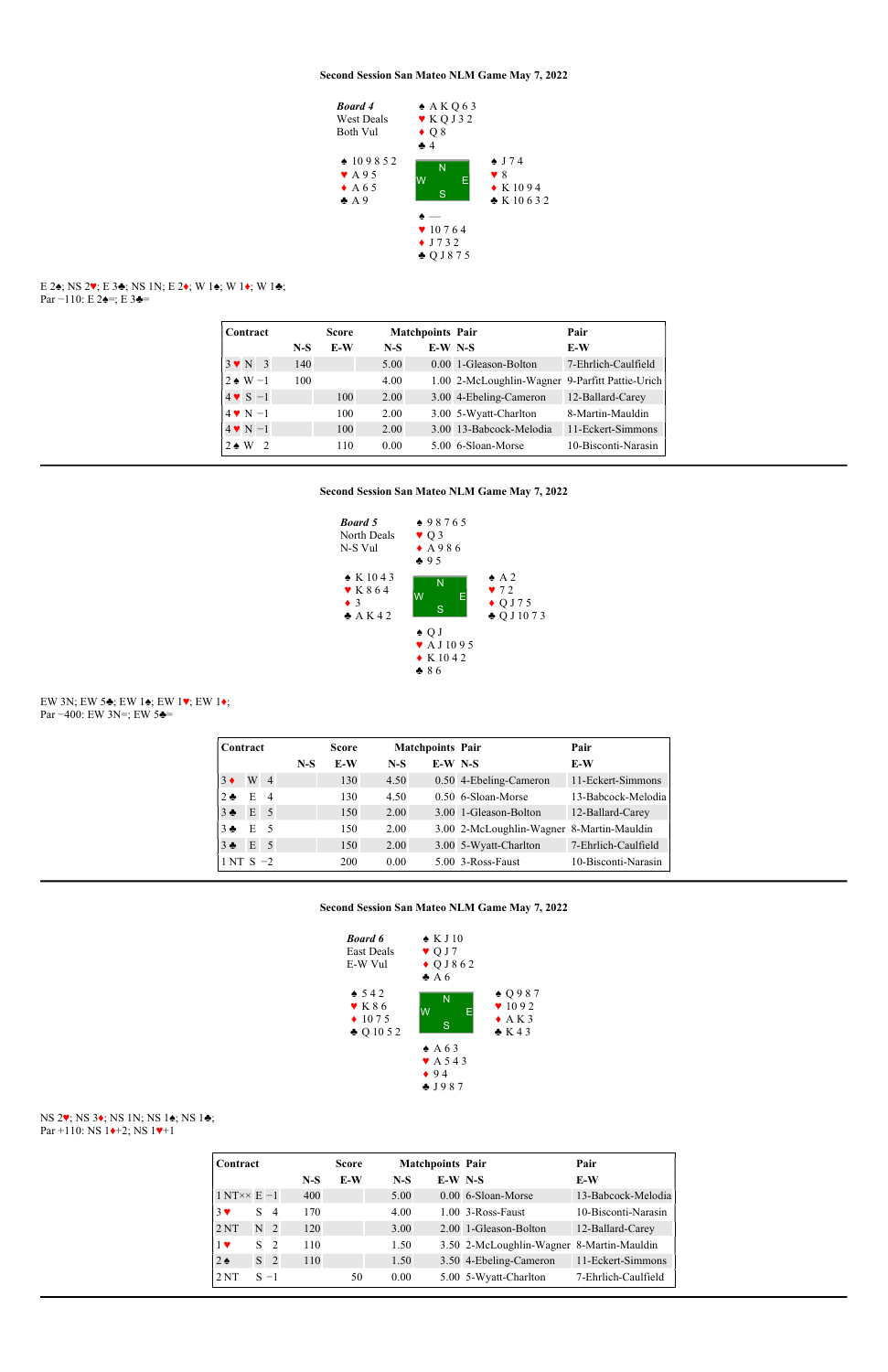### E 2♠; NS 2♥; E 3♣; NS 1N; E 2♦; W 1♠; W 1♦; W 1♣; Par −110: E 2 $\triangleq$ =; E 3 $\triangleq$ =



### EW 3N; EW 5♣; EW 1♠; EW 1♥; EW 1♦; Par −400: EW 3N=; EW 5<del> $\triangleq$ </del>

| Contract                          |       | <b>Score</b> |       | <b>Matchpoints Pair</b> |                                                 | Pair                |
|-----------------------------------|-------|--------------|-------|-------------------------|-------------------------------------------------|---------------------|
|                                   | $N-S$ | E-W          | $N-S$ | $E-W$ N-S               |                                                 | E-W                 |
| $3 \vee N$ 3                      | 140   |              | 5.00  |                         | 0.00 1-Gleason-Bolton                           | 7-Ehrlich-Caulfield |
| $2 \triangleleft W - 1$           | 100   |              | 4.00  |                         | 1.00 2-McLoughlin-Wagner 9-Parfitt Pattie-Urich |                     |
| $4 \vee S - 1$                    |       | 100          | 2.00  |                         | 3.00 4-Ebeling-Cameron                          | 12-Ballard-Carey    |
| $4 \cdot N - 1$                   |       | 100          | 2.00  |                         | 3.00 5-Wyatt-Charlton                           | 8-Martin-Mauldin    |
| $4 \vee N - 1$                    |       | 100          | 2.00  |                         | 3.00 13-Babcock-Melodia                         | 11-Eckert-Simmons   |
| $2 \triangle W$<br>$\overline{2}$ |       | 110          | 0.00  |                         | 5.00 6-Sloan-Morse                              | 10-Bisconti-Narasin |

## Second Session San Mateo NLM Game May 7, 2022

# NS 2♥; NS 3♦; NS 1N; NS 1♠; NS 1♣; Par +110: NS 1<sup>→+2</sup>; NS 1<sup>→+1</sup>



| Contract          |             |                |       | <b>Score</b> |       | <b>Matchpoints Pair</b> |                                           | Pair                |
|-------------------|-------------|----------------|-------|--------------|-------|-------------------------|-------------------------------------------|---------------------|
|                   |             |                | $N-S$ | E-W          | $N-S$ | $E-W$ N-S               |                                           | E-W                 |
| $3 \blacklozenge$ | W           | $\overline{4}$ |       | 130          | 4.50  |                         | 0.50 4-Ebeling-Cameron                    | 11-Eckert-Simmons   |
| $2 \bullet$       | E           | $\overline{4}$ |       | 130          | 4.50  |                         | $0.50$ 6-Sloan-Morse                      | 13-Babcock-Melodia  |
| 3 <sub>2</sub>    | $E \quad 5$ |                |       | 150          | 2.00  |                         | 3.00 1-Gleason-Bolton                     | 12-Ballard-Carey    |
| $3 -$             | E           | - 5            |       | 150          | 2.00  |                         | 3.00 2-McLoughlin-Wagner 8-Martin-Mauldin |                     |
| $3 - 5$           | E           | -5             |       | 150          | 2.00  |                         | 3.00 5-Wyatt-Charlton                     | 7-Ehrlich-Caulfield |
| $1NT S -2$        |             |                |       | 200          | 0.00  |                         | 5.00 3-Ross-Faust                         | 10-Bisconti-Narasin |

#### Second Session San Mateo NLM Game May 7, 2022



| Contract                 |                |                |       | <b>Score</b> |       | <b>Matchpoints Pair</b> |                                           | Pair                |
|--------------------------|----------------|----------------|-------|--------------|-------|-------------------------|-------------------------------------------|---------------------|
|                          |                |                | $N-S$ | E-W          | $N-S$ | $E-W$ N-S               |                                           | E-W                 |
| $1 N T \times E - 1$     |                |                | 400   |              | 5.00  |                         | 0.00 6-Sloan-Morse                        | 13-Babcock-Melodia  |
| $3 \vee$                 | S              | -4             | 170   |              | 4.00  |                         | $1.00$ 3-Ross-Faust                       | 10-Bisconti-Narasin |
| 2NT                      | N <sub>2</sub> |                | 120   |              | 3.00  |                         | 2.00 1-Gleason-Bolton                     | 12-Ballard-Carey    |
| $1$ $\blacktriangledown$ | S.             | $\overline{2}$ | 110   |              | 1.50  |                         | 3.50 2-McLoughlin-Wagner 8-Martin-Mauldin |                     |
| $2 \triangleleft$        |                | S <sub>2</sub> | 110   |              | 1.50  |                         | 3.50 4-Ebeling-Cameron                    | 11-Eckert-Simmons   |
| 2NT                      | $S - 1$        |                |       | 50           | 0.00  |                         | 5.00 5-Wyatt-Charlton                     | 7-Ehrlich-Caulfield |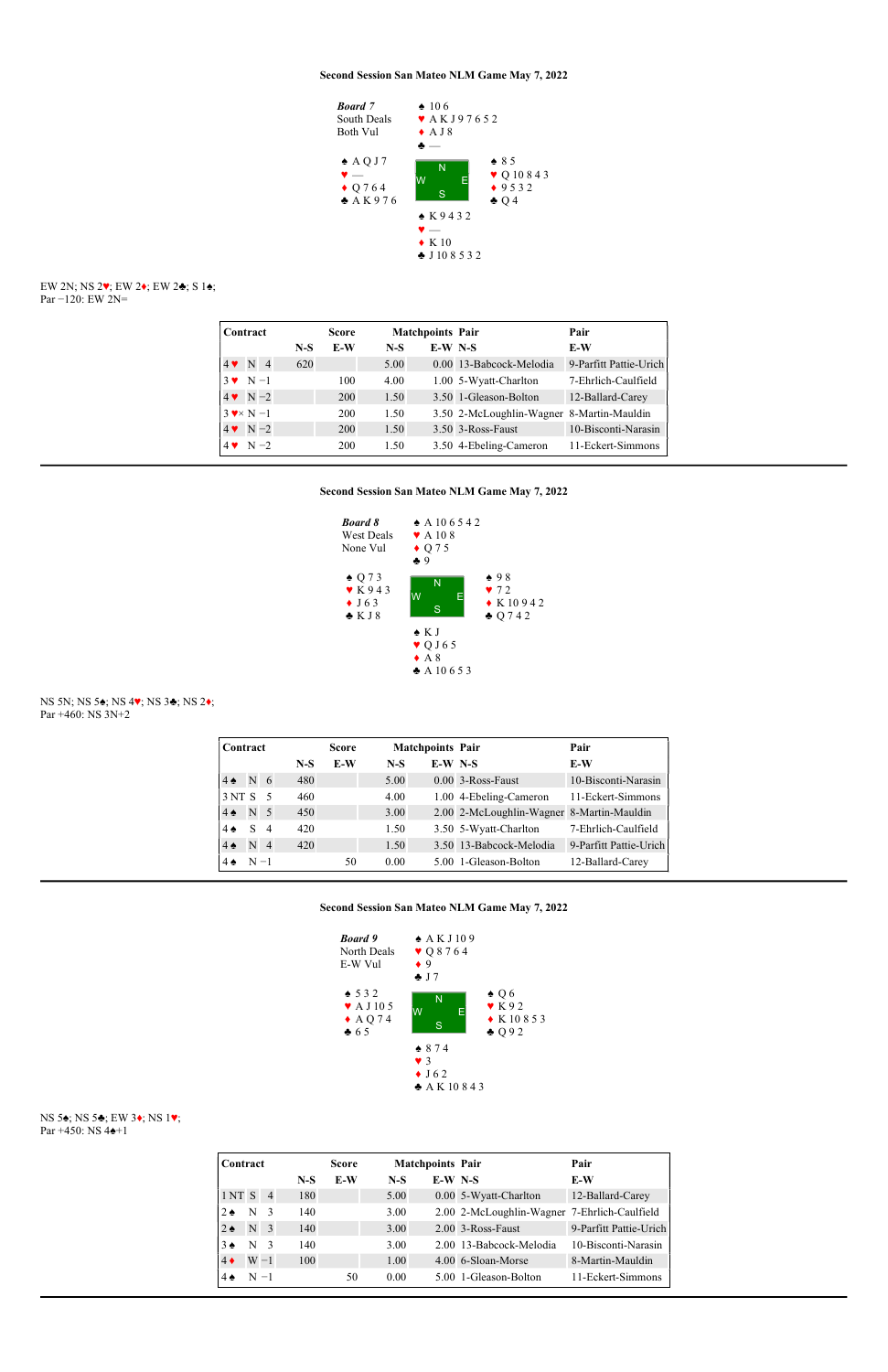

#### EW 2N; NS 2♥; EW 2♦; EW 2♣; S 1♠; Par −120: EW 2N=

| Contract         |       | <b>Score</b> |       | <b>Matchpoints Pair</b> |                                           | Pair                   |
|------------------|-------|--------------|-------|-------------------------|-------------------------------------------|------------------------|
|                  | $N-S$ | E-W          | $N-S$ | $E-W$ N-S               |                                           | E-W                    |
| $4 \vee N$ 4     | 620   |              | 5.00  |                         | 0.00 13-Babcock-Melodia                   | 9-Parfitt Pattie-Urich |
| $3 \vee N-1$     |       | 100          | 4.00  |                         | 1.00 5-Wyatt-Charlton                     | 7-Ehrlich-Caulfield    |
| $4 \vee N - 2$   |       | 200          | 1.50  |                         | 3.50 1-Gleason-Bolton                     | 12-Ballard-Carey       |
| $3 \times N - 1$ |       | 200          | 1.50  |                         | 3.50 2-McLoughlin-Wagner 8-Martin-Mauldin |                        |
| $4 \vee N - 2$   |       | 200          | 1.50  |                         | 3.50 3-Ross-Faust                         | 10-Bisconti-Narasin    |
| $4 \cdot N - 2$  |       | 200          | 1.50  |                         | 3.50 4-Ebeling-Cameron                    | 11-Eckert-Simmons      |

## Second Session San Mateo NLM Game May 7, 2022



### NS 5N; NS 5♠; NS 4♥; NS 3♣; NS 2♦; Par +460: NS 3N+2

| Contract          |                |                |       | <b>Score</b> |       | <b>Matchpoints Pair</b> |                                           | Pair                   |
|-------------------|----------------|----------------|-------|--------------|-------|-------------------------|-------------------------------------------|------------------------|
|                   |                |                | $N-S$ | E-W          | $N-S$ | $E-W$ N-S               |                                           | E-W                    |
| $4 \spadesuit$    | N <sub>6</sub> |                | 480   |              | 5.00  |                         | 0.00 3-Ross-Faust                         | 10-Bisconti-Narasin    |
| 3 <sub>NT</sub> S |                | - 5            | 460   |              | 4.00  |                         | 1.00 4-Ebeling-Cameron                    | 11-Eckert-Simmons      |
| $4 \spadesuit$    | N <sub>5</sub> |                | 450   |              | 3.00  |                         | 2.00 2-McLoughlin-Wagner 8-Martin-Mauldin |                        |
| $4 \spadesuit$    | S.             | $\overline{4}$ | 420   |              | 1.50  |                         | 3.50 5-Wyatt-Charlton                     | 7-Ehrlich-Caulfield    |
| $4 \spadesuit$    | N.             | $\overline{4}$ | 420   |              | 1.50  |                         | 3.50 13-Babcock-Melodia                   | 9-Parfitt Pattie-Urich |
|                   | $N - 1$        |                |       | 50           | 0.00  |                         | 5.00 1-Gleason-Bolton                     | 12-Ballard-Carey       |

### Second Session San Mateo NLM Game May 7, 2022



# NS 5♠; NS 5♣; EW 3♦; NS 1♥; Par +450: NS 4♠+1

| Contract          |         |                |       | <b>Score</b> |       | <b>Matchpoints Pair</b> |                                              | Pair                   |
|-------------------|---------|----------------|-------|--------------|-------|-------------------------|----------------------------------------------|------------------------|
|                   |         |                | $N-S$ | E-W          | $N-S$ | $E-W N-S$               |                                              | E-W                    |
| 1NTS              |         | $\overline{4}$ | 180   |              | 5.00  |                         | 0.00 5-Wyatt-Charlton                        | 12-Ballard-Carey       |
| $2 \bullet$       | N       | $\mathcal{E}$  | 140   |              | 3.00  |                         | 2.00 2-McLoughlin-Wagner 7-Ehrlich-Caulfield |                        |
| $2 \triangleleft$ | N       | $\overline{3}$ | 140   |              | 3.00  |                         | $2.00$ 3-Ross-Faust                          | 9-Parfitt Pattie-Urich |
| $3 \bullet$       | N       | $\mathcal{R}$  | 140   |              | 3.00  |                         | 2.00 13-Babcock-Melodia                      | 10-Bisconti-Narasin    |
| $4\bullet$        |         | $W - 1$        | 100   |              | 1.00  |                         | 4.00 6-Sloan-Morse                           | 8-Martin-Mauldin       |
| $4 \spadesuit$    | $N - 1$ |                |       | 50           | 0.00  |                         | 5.00 1-Gleason-Bolton                        | 11-Eckert-Simmons      |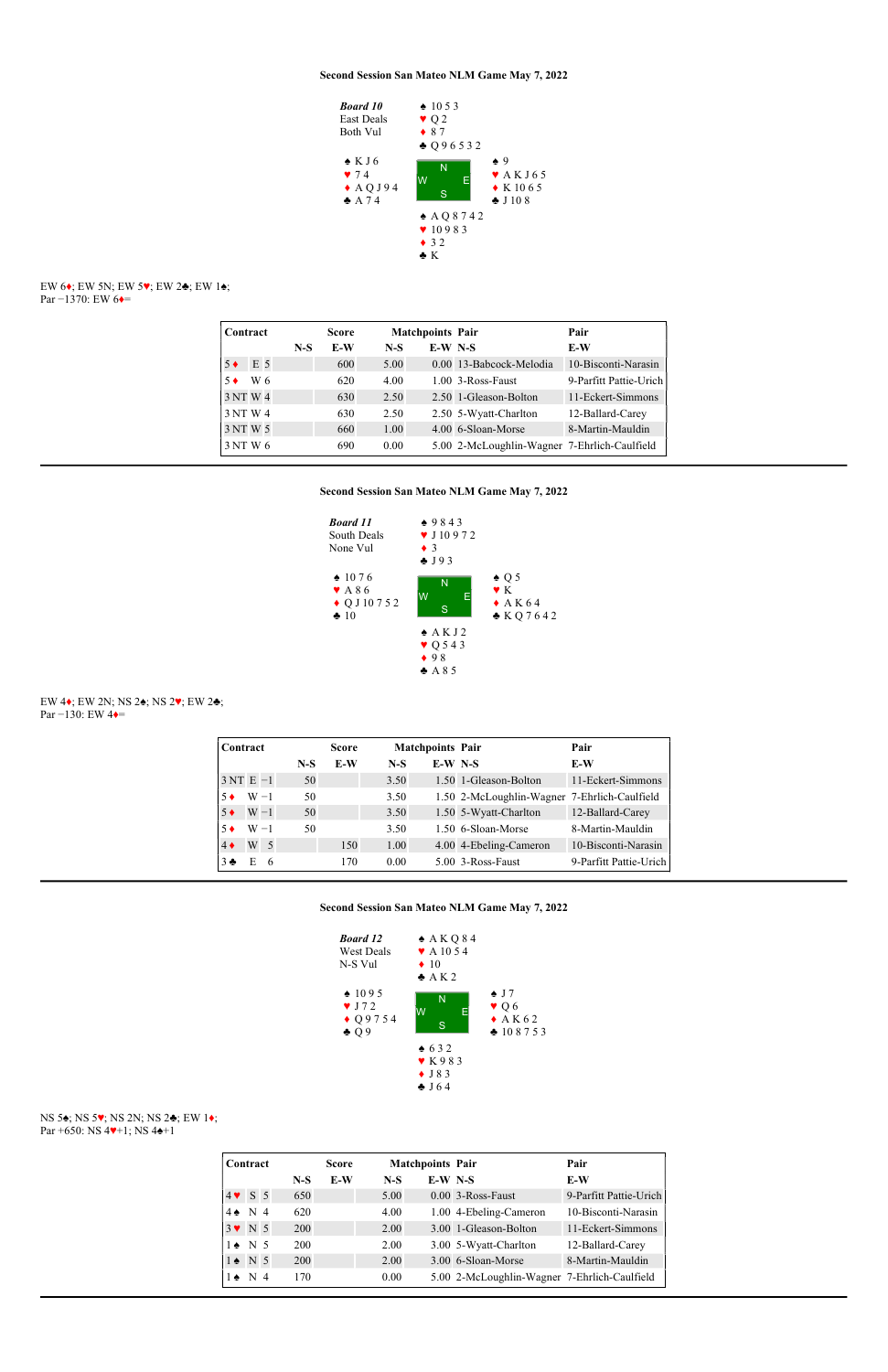### EW 6♦; EW 5N; EW 5♥; EW 2♣; EW 1♠; Par −1370: EW 6 $\triangleleft$ =



| Contract |     |       | <b>Score</b> |       | <b>Matchpoints Pair</b> |                                              | Pair                   |
|----------|-----|-------|--------------|-------|-------------------------|----------------------------------------------|------------------------|
|          |     | $N-S$ | E-W          | $N-S$ | $E-W$ N-S               |                                              | E-W                    |
|          | E 5 |       | 600          | 5.00  |                         | 0.00 13-Babcock-Melodia                      | 10-Bisconti-Narasin    |
|          | W 6 |       | 620          | 4.00  |                         | $1.00$ 3-Ross-Faust                          | 9-Parfitt Pattie-Urich |
| 3 NT W 4 |     |       | 630          | 2.50  |                         | 2.50 1-Gleason-Bolton                        | 11-Eckert-Simmons      |
| 3 NT W 4 |     |       | 630          | 2.50  |                         | 2.50 5-Wyatt-Charlton                        | 12-Ballard-Carey       |
| 3 NT W 5 |     |       | 660          | 1.00  |                         | 4.00 6-Sloan-Morse                           | 8-Martin-Mauldin       |
| 3 NT W 6 |     |       | 690          | 0.00  |                         | 5.00 2-McLoughlin-Wagner 7-Ehrlich-Caulfield |                        |

## Second Session San Mateo NLM Game May 7, 2022

# NS 5♠; NS 5♥; NS 2N; NS 2♣; EW 1♦; Par +650: NS 4♥+1; NS 4♠+1



### EW 4♦; EW 2N; NS 2♠; NS 2♥; EW 2♣; Par −130: EW 4♦=

| Contract    |         |                |       | <b>Score</b> |       | <b>Matchpoints Pair</b> |                                              | Pair                   |
|-------------|---------|----------------|-------|--------------|-------|-------------------------|----------------------------------------------|------------------------|
|             |         |                | $N-S$ | E-W          | $N-S$ | $E-W$ N-S               |                                              | E-W                    |
| $3NT E -1$  |         |                | 50    |              | 3.50  |                         | 1.50 1-Gleason-Bolton                        | 11-Eckert-Simmons      |
| $5 \bullet$ | $W - 1$ |                | 50    |              | 3.50  |                         | 1.50 2-McLoughlin-Wagner 7-Ehrlich-Caulfield |                        |
| $5 \bullet$ | $W - 1$ |                | 50    |              | 3.50  |                         | 1.50 5-Wyatt-Charlton                        | 12-Ballard-Carey       |
| 5 ♦         | $W - 1$ |                | 50    |              | 3.50  |                         | 1.50 6-Sloan-Morse                           | 8-Martin-Mauldin       |
| $4\bullet$  | W       | $\overline{5}$ |       | 150          | 1.00  |                         | 4.00 4-Ebeling-Cameron                       | 10-Bisconti-Narasin    |
| $3 -$       | E       | -6             |       | 170          | 0.00  |                         | 5.00 3-Ross-Faust                            | 9-Parfitt Pattie-Urich |

### Second Session San Mateo NLM Game May 7, 2022



| Contract              |                |  |       | <b>Score</b> |       | <b>Matchpoints Pair</b> |                                              | Pair                   |
|-----------------------|----------------|--|-------|--------------|-------|-------------------------|----------------------------------------------|------------------------|
|                       |                |  | $N-S$ | E-W          | $N-S$ | $E-W$ N-S               |                                              | E-W                    |
| $4 \vee 5$ 5          |                |  | 650   |              | 5.00  |                         | 0.00 3-Ross-Faust                            | 9-Parfitt Pattie-Urich |
| $4 \spadesuit$        | N <sub>4</sub> |  | 620   |              | 4.00  |                         | 1.00 4-Ebeling-Cameron                       | 10-Bisconti-Narasin    |
| $3 \vee N 5$          |                |  | 200   |              | 2.00  |                         | 3.00 1-Gleason-Bolton                        | 11-Eckert-Simmons      |
| $1 \triangleleft N$ 5 |                |  | 200   |              | 2.00  |                         | 3.00 5-Wyatt-Charlton                        | 12-Ballard-Carey       |
| $1 \bullet N 5$       |                |  | 200   |              | 2.00  |                         | 3.00 6-Sloan-Morse                           | 8-Martin-Mauldin       |
| $1 \bullet$           | N <sub>4</sub> |  | 170   |              | 0.00  |                         | 5.00 2-McLoughlin-Wagner 7-Ehrlich-Caulfield |                        |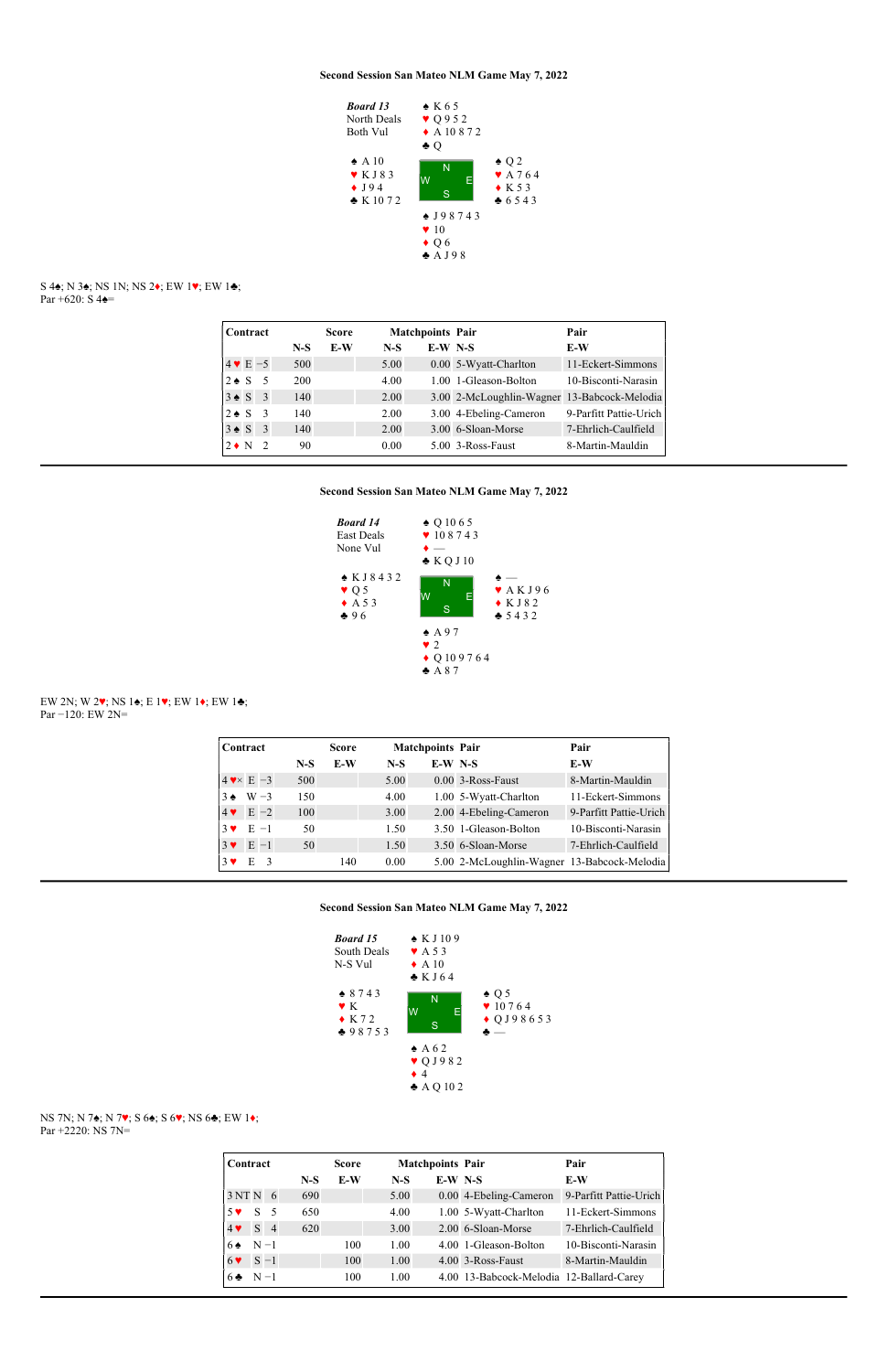

#### S 4 $\bullet$ ; N 3 $\bullet$ ; NS 1N; NS 2 $\bullet$ ; EW 1 $\bullet$ ; EW 1 $\bullet$ ; Par +620: S  $4\spadesuit$ =

| Contract              |                          |       | <b>Score</b> |       | <b>Matchpoints Pair</b> |                                             | Pair                   |
|-----------------------|--------------------------|-------|--------------|-------|-------------------------|---------------------------------------------|------------------------|
|                       |                          | $N-S$ | E-W          | $N-S$ | $E-W$ N-S               |                                             | E-W                    |
| $4 \vee E - 5$        |                          | 500   |              | 5.00  |                         | 0.00 5-Wyatt-Charlton                       | 11-Eckert-Simmons      |
| $2 \triangleleft S$   | - 5                      | 200   |              | 4.00  |                         | 1.00 1-Gleason-Bolton                       | 10-Bisconti-Narasin    |
| $3 \triangleleft S$ 3 |                          | 140   |              | 2.00  |                         | 3.00 2-McLoughlin-Wagner 13-Babcock-Melodia |                        |
| $2 \triangleleft S$   | $\overline{3}$           | 140   |              | 2.00  |                         | 3.00 4-Ebeling-Cameron                      | 9-Parfitt Pattie-Urich |
| $3 \triangleleft S$   | $\overline{\mathbf{3}}$  | 140   |              | 2.00  |                         | 3.00 6-Sloan-Morse                          | 7-Ehrlich-Caulfield    |
| $2 \bullet N$         | $\overline{\phantom{a}}$ | 90    |              | 0.00  |                         | $5.00$ 3-Ross-Faust                         | 8-Martin-Mauldin       |

## Second Session San Mateo NLM Game May 7, 2022



### EW 2N; W 2♥; NS 1♠; E 1♥; EW 1♦; EW 1♣; Par −120: EW 2N=

| Contract                 |                  |       | <b>Score</b> |       | <b>Matchpoints Pair</b> |                                             | Pair                   |
|--------------------------|------------------|-------|--------------|-------|-------------------------|---------------------------------------------|------------------------|
|                          |                  | $N-S$ | E-W          | $N-S$ | $E-W$ N-S               |                                             | E-W                    |
|                          | $4 \times E - 3$ | 500   |              | 5.00  |                         | 0.00 3-Ross-Faust                           | 8-Martin-Mauldin       |
| $3 \bullet$              | $W - 3$          | 150   |              | 4.00  |                         | 1.00 5-Wyatt-Charlton                       | 11-Eckert-Simmons      |
| $4$ $\blacktriangledown$ | $E -2$           | 100   |              | 3.00  |                         | 2.00 4-Ebeling-Cameron                      | 9-Parfitt Pattie-Urich |
| $3 \vee$                 | $E - 1$          | 50    |              | 1.50  |                         | 3.50 1-Gleason-Bolton                       | 10-Bisconti-Narasin    |
| $3 \vee$                 | $E -1$           | 50    |              | 1.50  |                         | 3.50 6-Sloan-Morse                          | 7-Ehrlich-Caulfield    |
| $3 \vee$                 | Е                |       | 140          | 0.00  |                         | 5.00 2-McLoughlin-Wagner 13-Babcock-Melodia |                        |

### Second Session San Mateo NLM Game May 7, 2022



## NS 7N; N 7♠; N 7♥; S 6♠; S 6♥; NS 6♣; EW 1♦; Par +2220: NS 7N=

| Contract               |       |                |       | <b>Score</b> |       | <b>Matchpoints Pair</b> |                                          | Pair                   |
|------------------------|-------|----------------|-------|--------------|-------|-------------------------|------------------------------------------|------------------------|
|                        |       |                | $N-S$ | E-W          | $N-S$ | $E-W$ N-S               |                                          | E-W                    |
| 3NTN6                  |       |                | 690   |              | 5.00  |                         | 0.00 4-Ebeling-Cameron                   | 9-Parfitt Pattie-Urich |
| $5 \vee$               | S     | - 5            | 650   |              | 4.00  |                         | 1.00 5-Wyatt-Charlton                    | 11-Eckert-Simmons      |
| $4 \blacktriangledown$ | S     | $\overline{4}$ | 620   |              | 3.00  |                         | 2.00 6-Sloan-Morse                       | 7-Ehrlich-Caulfield    |
| 6 ♠                    | $N-1$ |                |       | 100          | 1.00  |                         | 4.00 1-Gleason-Bolton                    | 10-Bisconti-Narasin    |
| $6 \vee$               |       | $S - 1$        |       | 100          | 1.00  |                         | 4.00 3-Ross-Faust                        | 8-Martin-Mauldin       |
| $6 -$                  | $N-1$ |                |       | 100          | 1.00  |                         | 4.00 13-Babcock-Melodia 12-Ballard-Carey |                        |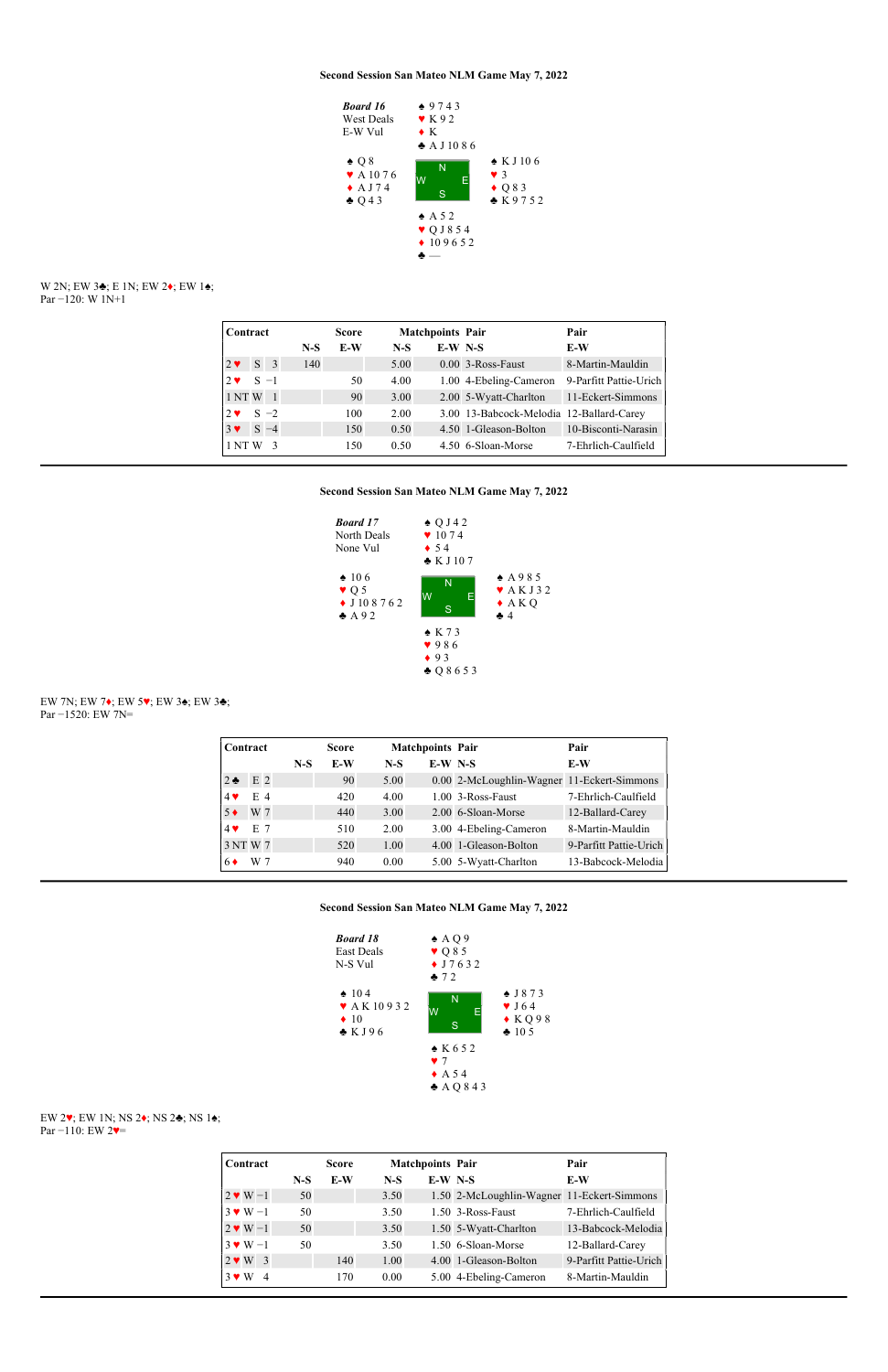

### W 2N; EW 3♣; E 1N; EW 2♦; EW 1♠; Par −120: W 1N+1

| Contract    |             |                |       | <b>Score</b> |       | <b>Matchpoints Pair</b> |                                          | Pair                   |
|-------------|-------------|----------------|-------|--------------|-------|-------------------------|------------------------------------------|------------------------|
|             |             |                | $N-S$ | E-W          | $N-S$ | $E-W$ N-S               |                                          | E-W                    |
| $2 \bullet$ | $S \quad 3$ |                | 140   |              | 5.00  |                         | 0.00 3-Ross-Faust                        | 8-Martin-Mauldin       |
| $2 \bullet$ | $S -1$      |                |       | 50           | 4.00  |                         | 1.00 4-Ebeling-Cameron                   | 9-Parfitt Pattie-Urich |
| 1 NT W      |             | $\overline{1}$ |       | 90           | 3.00  |                         | 2.00 5-Wyatt-Charlton                    | 11-Eckert-Simmons      |
| $2 \bullet$ |             | $S -2$         |       | 100          | 2.00  |                         | 3.00 13-Babcock-Melodia 12-Ballard-Carey |                        |
| $3 \vee$    |             | $S -4$         |       | 150          | 0.50  |                         | 4.50 1-Gleason-Bolton                    | 10-Bisconti-Narasin    |
| 1 NT W      |             | $\mathcal{R}$  |       | 150          | 0.50  |                         | 4.50 6-Sloan-Morse                       | 7-Ehrlich-Caulfield    |

## Second Session San Mateo NLM Game May 7, 2022



EW 7N; EW 7♦; EW 5♥; EW 3♠; EW 3♣; Par −1520: EW 7N=

| Contract                 |                |       | <b>Score</b> |       | <b>Matchpoints Pair</b> |                                            | Pair                   |
|--------------------------|----------------|-------|--------------|-------|-------------------------|--------------------------------------------|------------------------|
|                          |                | $N-S$ | E-W          | $N-S$ | $E-W$ N-S               |                                            | E-W                    |
| $2 \bullet$              | E <sub>2</sub> |       | 90           | 5.00  |                         | 0.00 2-McLoughlin-Wagner 11-Eckert-Simmons |                        |
| $4$ $\blacktriangledown$ | E 4            |       | 420          | 4.00  |                         | $1.00$ 3-Ross-Faust                        | 7-Ehrlich-Caulfield    |
| $5 \bullet$              | W 7            |       | 440          | 3.00  |                         | 2.00 6-Sloan-Morse                         | 12-Ballard-Carey       |
| $4$ $\blacktriangledown$ | E 7            |       | 510          | 2.00  |                         | 3.00 4-Ebeling-Cameron                     | 8-Martin-Mauldin       |
| 3 NT W 7                 |                |       | 520          | 1.00  |                         | 4.00 1-Gleason-Bolton                      | 9-Parfitt Pattie-Urich |
| 6♦                       | W 7            |       | 940          | 0.00  |                         | 5.00 5-Wyatt-Charlton                      | 13-Babcock-Melodia     |

### Second Session San Mateo NLM Game May 7, 2022



# EW 2♥; EW 1N; NS 2♦; NS 2♣; NS 1♠; Par −110: EW 2♥=

| Contract                     |       | <b>Score</b> |       | <b>Matchpoints Pair</b> |                                            | Pair                   |
|------------------------------|-------|--------------|-------|-------------------------|--------------------------------------------|------------------------|
|                              | $N-S$ | E-W          | $N-S$ | $E-W$ N-S               |                                            | E-W                    |
| $2 \vee W - 1$               | 50    |              | 3.50  |                         | 1.50 2-McLoughlin-Wagner 11-Eckert-Simmons |                        |
| $3 \vee W - 1$               | 50    |              | 3.50  |                         | 1.50 3-Ross-Faust                          | 7-Ehrlich-Caulfield    |
| $2 \cdot W - 1$              | 50    |              | 3.50  |                         | 1.50 5-Wyatt-Charlton                      | 13-Babcock-Melodia     |
| $3 \vee W - 1$               | 50    |              | 3.50  |                         | 1.50 6-Sloan-Morse                         | 12-Ballard-Carey       |
| $2 \cdot W$ 3                |       | 140          | 1.00  |                         | 4.00 1-Gleason-Bolton                      | 9-Parfitt Pattie-Urich |
| $3 \vee W$<br>$\overline{4}$ |       | 170          | 0.00  |                         | 5.00 4-Ebeling-Cameron                     | 8-Martin-Mauldin       |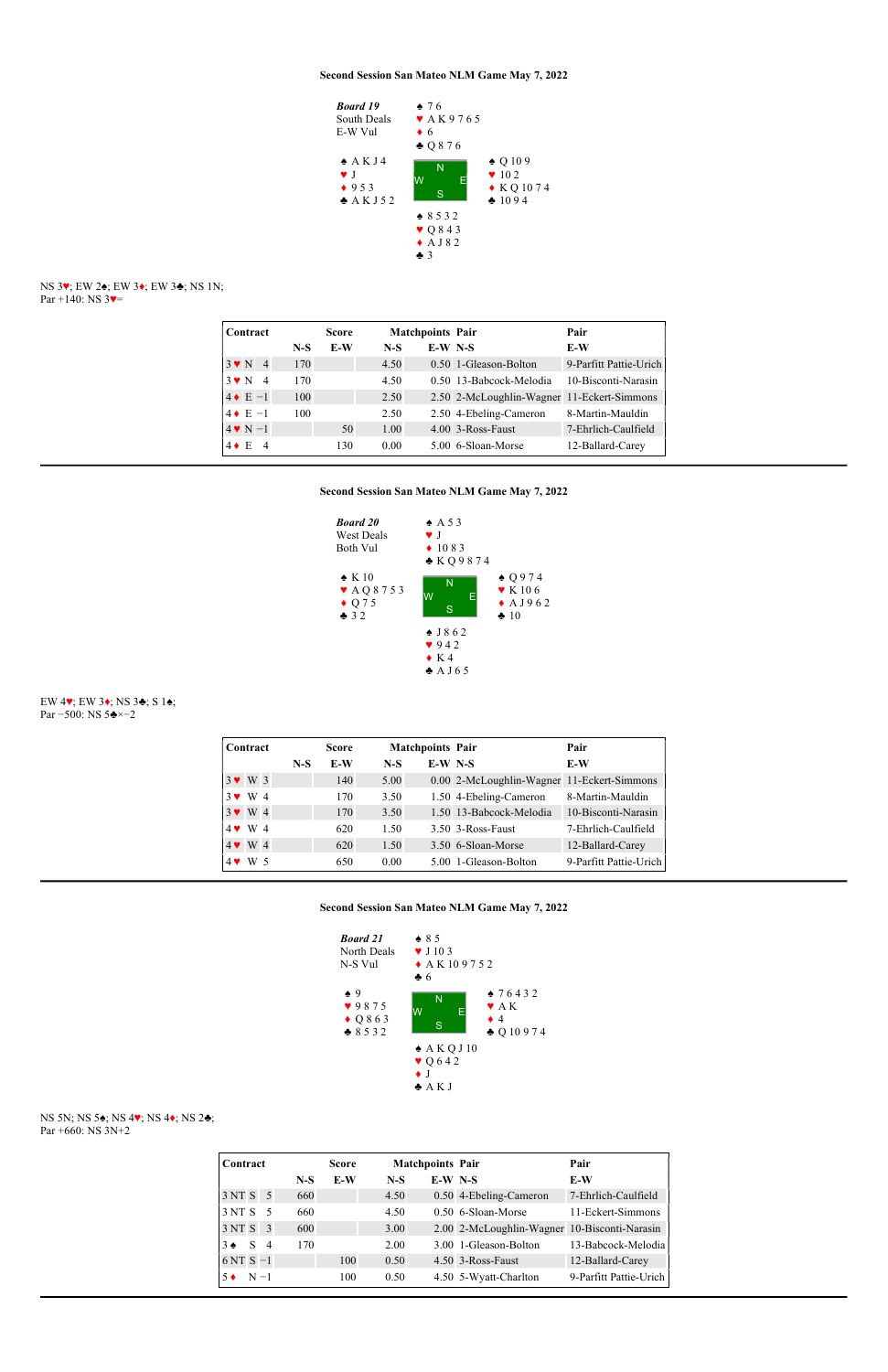#### NS 3♥; EW 2♠; EW 3♦; EW 3♣; NS 1N; Par +140: NS  $3$ .



| Contract            |       | <b>Score</b> |       | <b>Matchpoints Pair</b> |                                            | Pair                   |
|---------------------|-------|--------------|-------|-------------------------|--------------------------------------------|------------------------|
|                     | $N-S$ | E-W          | $N-S$ | $E-W$ N-S               |                                            | E-W                    |
| $3 \vee N$ 4        | 170   |              | 4.50  |                         | 0.50 1-Gleason-Bolton                      | 9-Parfitt Pattie-Urich |
| $3 \vee N$ 4        | 170   |              | 4.50  |                         | 0.50 13-Babcock-Melodia                    | 10-Bisconti-Narasin    |
| $4 \cdot E - 1$     | 100   |              | 2.50  |                         | 2.50 2-McLoughlin-Wagner 11-Eckert-Simmons |                        |
| $4 \cdot E - 1$     | 100   |              | 2.50  |                         | 2.50 4-Ebeling-Cameron                     | 8-Martin-Mauldin       |
| $4 \vee N - 1$      |       | 50           | 1.00  |                         | 4.00 3-Ross-Faust                          | 7-Ehrlich-Caulfield    |
| $4 \bullet E$<br>-4 |       | 130          | 0.00  |                         | 5.00 6-Sloan-Morse                         | 12-Ballard-Carey       |

## Second Session San Mateo NLM Game May 7, 2022



### EW 4♥; EW 3♦; NS 3♣; S 1♠; Par −500: NS 5♣×−2

| Contract      |  |       | <b>Score</b> |       | <b>Matchpoints Pair</b> |                                            | Pair                   |
|---------------|--|-------|--------------|-------|-------------------------|--------------------------------------------|------------------------|
|               |  | $N-S$ | E-W          | $N-S$ | $E-W$ N-S               |                                            | E-W                    |
| $3 \cdot W$ 3 |  |       | 140          | 5.00  |                         | 0.00 2-McLoughlin-Wagner 11-Eckert-Simmons |                        |
| $3 \vee W 4$  |  |       | 170          | 3.50  |                         | 1.50 4-Ebeling-Cameron                     | 8-Martin-Mauldin       |
| $3 \vee W 4$  |  |       | 170          | 3.50  |                         | 1.50 13-Babcock-Melodia                    | 10-Bisconti-Narasin    |
| $4 \cdot W 4$ |  |       | 620          | 1.50  |                         | 3.50 3-Ross-Faust                          | 7-Ehrlich-Caulfield    |
| $4 \cdot W 4$ |  |       | 620          | 1.50  |                         | 3.50 6-Sloan-Morse                         | 12-Ballard-Carey       |
| $4$ W 5       |  |       | 650          | 0.00  |                         | 5.00 1-Gleason-Bolton                      | 9-Parfitt Pattie-Urich |

Second Session San Mateo NLM Game May 7, 2022



## NS 5N; NS 5♠; NS 4♥; NS 4♦; NS 2♣; Par +660: NS 3N+2

| Contract                     |                |       | <b>Score</b> |       | <b>Matchpoints Pair</b> |                                              | Pair                   |
|------------------------------|----------------|-------|--------------|-------|-------------------------|----------------------------------------------|------------------------|
|                              |                | $N-S$ | E-W          | $N-S$ | $E-W$ N-S               |                                              | E-W                    |
| 3 NT S 5                     |                | 660   |              | 4.50  |                         | 0.50 4-Ebeling-Cameron                       | 7-Ehrlich-Caulfield    |
| 3NTS <sub>5</sub>            |                | 660   |              | 4.50  |                         | 0.50 6-Sloan-Morse                           | 11-Eckert-Simmons      |
| 3 NT S 3                     |                | 600   |              | 3.00  |                         | 2.00 2-McLoughlin-Wagner 10-Bisconti-Narasin |                        |
| $3 \bullet$<br>$S_{\text{}}$ | $\overline{4}$ | 170   |              | 2.00  |                         | 3.00 1-Gleason-Bolton                        | 13-Babcock-Melodia     |
| $6NTS-1$                     |                |       | 100          | 0.50  |                         | 4.50 3-Ross-Faust                            | 12-Ballard-Carey       |
| $N-1$                        |                |       | 100          | 0.50  |                         | 4.50 5-Wyatt-Charlton                        | 9-Parfitt Pattie-Urich |